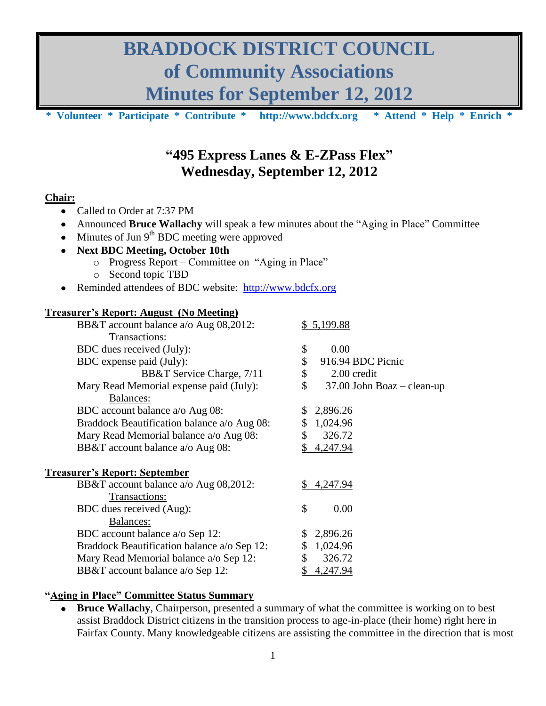# **BRADDOCK DISTRICT COUNCIL of Community Associations Minutes for September 12, 2012**

**\* Volunteer \* Participate \* Contribute \* [http://www.bdcfx.org](http://www.bdcfx.org/) \* Attend \* Help \* Enrich \***

## **"495 Express Lanes & E-ZPass Flex" Wednesday, September 12, 2012**

#### **Chair:**

- Called to Order at 7:37 PM  $\bullet$
- Announced **Bruce Wallachy** will speak a few minutes about the "Aging in Place" Committee  $\bullet$
- Minutes of Jun 9<sup>th</sup> BDC meeting were approved
- **Next BDC Meeting, October 10th** 
	- o Progress Report Committee on "Aging in Place"
		- o Second topic TBD
- $\bullet$ Reminded attendees of BDC website: [http://www.bdcfx.org](http://www.bdcfx.org/)

#### **Treasurer's Report: August (No Meeting)**

| \$5,199.88                       |
|----------------------------------|
|                                  |
| \$<br>0.00                       |
| \$<br>916.94 BDC Picnic          |
| \$<br>2.00 credit                |
| \$<br>37.00 John Boaz - clean-up |
|                                  |
| 2,896.26<br>S.                   |
| \$1,024.96                       |
| \$<br>326.72                     |
| \$<br>4,247.94                   |
|                                  |
| 4,247.94<br>SS.                  |
|                                  |
| \$<br>0.00                       |
|                                  |
| 2,896.26                         |
| 1,024.96<br>\$                   |
| 326.72<br>\$                     |
| \$<br>4,247.94                   |
|                                  |

#### **"Aging in Place" Committee Status Summary**

**Bruce Wallachy**, Chairperson, presented a summary of what the committee is working on to best  $\bullet$ assist Braddock District citizens in the transition process to age-in-place (their home) right here in Fairfax County. Many knowledgeable citizens are assisting the committee in the direction that is most